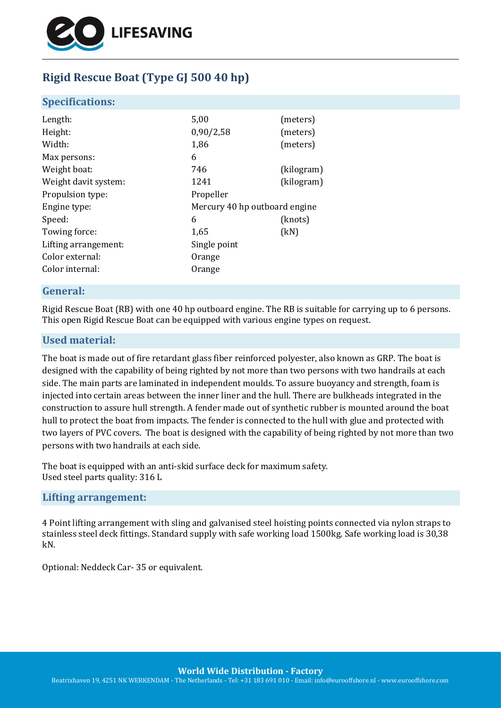

# **Rigid Rescue Boat (Type GJ 500 40 hp)**

#### **Specifications:**

| Length:              | 5,00                          | (meters)   |
|----------------------|-------------------------------|------------|
| Height:              | 0,90/2,58                     | (meters)   |
| Width:               | 1,86                          | (meters)   |
| Max persons:         | 6                             |            |
| Weight boat:         | 746                           | (kilogram) |
| Weight davit system: | 1241                          | (kilogram) |
| Propulsion type:     | Propeller                     |            |
| Engine type:         | Mercury 40 hp outboard engine |            |
| Speed:               | 6                             | (knots)    |
| Towing force:        | 1,65                          | (kN)       |
| Lifting arrangement: | Single point                  |            |
| Color external:      | Orange                        |            |
| Color internal:      | Orange                        |            |
|                      |                               |            |

## **General:**

Rigid Rescue Boat (RB) with one 40 hp outboard engine. The RB is suitable for carrying up to 6 persons. This open Rigid Rescue Boat can be equipped with various engine types on request.

## **Used material:**

The boat is made out of fire retardant glass fiber reinforced polyester, also known as GRP. The boat is designed with the capability of being righted by not more than two persons with two handrails at each side. The main parts are laminated in independent moulds. To assure buoyancy and strength, foam is injected into certain areas between the inner liner and the hull. There are bulkheads integrated in the construction to assure hull strength. A fender made out of synthetic rubber is mounted around the boat hull to protect the boat from impacts. The fender is connected to the hull with glue and protected with two layers of PVC covers. The boat is designed with the capability of being righted by not more than two persons with two handrails at each side.

The boat is equipped with an anti-skid surface deck for maximum safety. Used steel parts quality: 316 L

#### **Lifting arrangement:**

4 Point lifting arrangement with sling and galvanised steel hoisting points connected via nylon straps to stainless steel deck fittings. Standard supply with safe working load 1500kg. Safe working load is 30,38 kN.

Optional: Neddeck Car- 35 or equivalent.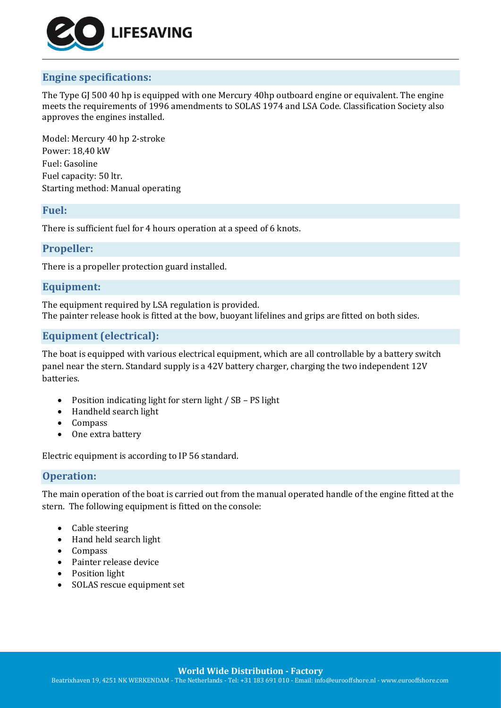

# **Engine specifications:**

The Type GJ 500 40 hp is equipped with one Mercury 40hp outboard engine or equivalent. The engine meets the requirements of 1996 amendments to SOLAS 1974 and LSA Code. Classification Society also approves the engines installed.

Model: Mercury 40 hp 2-stroke Power: 18,40 kW Fuel: Gasoline Fuel capacity: 50 ltr. Starting method: Manual operating

#### **Fuel:**

There is sufficient fuel for 4 hours operation at a speed of 6 knots.

#### **Propeller:**

There is a propeller protection guard installed.

## **Equipment:**

The equipment required by LSA regulation is provided. The painter release hook is fitted at the bow, buoyant lifelines and grips are fitted on both sides.

## **Equipment (electrical):**

The boat is equipped with various electrical equipment, which are all controllable by a battery switch panel near the stern. Standard supply is a 42V battery charger, charging the two independent 12V batteries.

- Position indicating light for stern light / SB PS light
- Handheld search light
- Compass
- One extra battery

Electric equipment is according to IP 56 standard.

## **Operation:**

The main operation of the boat is carried out from the manual operated handle of the engine fitted at the stern. The following equipment is fitted on the console:

- Cable steering
- Hand held search light
- Compass
- Painter release device
- Position light
- SOLAS rescue equipment set

**World Wide Distribution - Factory**